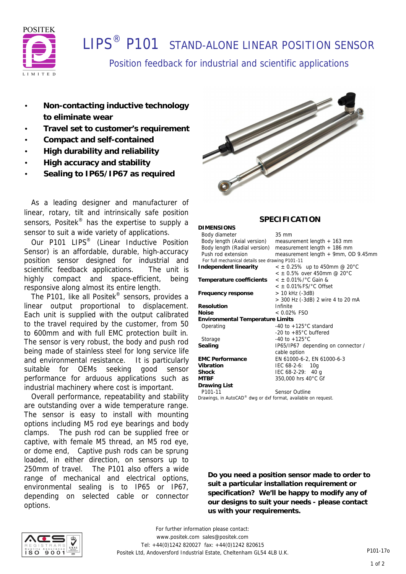

# **I IPS<sup>®</sup> P101** STAND-ALONE LINEAR POSITION SENSOR

Position feedback for industrial and scientific applications

- **Non-contacting inductive technology to eliminate wear**
- **Travel set to customer's requirement**
- **Compact and self-contained**
- **High durability and reliability**
- **High accuracy and stability**
- **Sealing to IP65/IP67 as required**

 As a leading designer and manufacturer of linear, rotary, tilt and intrinsically safe position sensors, Positek<sup>®</sup> has the expertise to supply a sensor to suit a wide variety of applications.

Our P101 LIPS<sup>®</sup> (Linear Inductive Position Sensor) is an affordable, durable, high-accuracy position sensor designed for industrial and scientific feedback applications. The unit is highly compact and space-efficient, being responsive along almost its entire length.

 The P101, like all Positek® sensors, provides a linear output proportional to displacement. Each unit is supplied with the output calibrated to the travel required by the customer, from 50 to 600mm and with full EMC protection built in. The sensor is very robust, the body and push rod being made of stainless steel for long service life and environmental resistance. It is particularly suitable for OEMs seeking good sensor performance for arduous applications such as industrial machinery where cost is important.

 Overall performance, repeatability and stability are outstanding over a wide temperature range. The sensor is easy to install with mounting options including M5 rod eye bearings and body clamps. The push rod can be supplied free or captive, with female M5 thread, an M5 rod eye, or dome end, Captive push rods can be sprung loaded, in either direction, on sensors up to 250mm of travel. The P101 also offers a wide range of mechanical and electrical options, environmental sealing is to IP65 or IP67, depending on selected cable or connector options.



### **SPECIFICATION**

| $35 \text{ mm}$                                 |
|-------------------------------------------------|
| measurement length $+$ 163 mm                   |
| measurement length $+$ 186 mm                   |
| measurement length + 9mm, OD 9.45mm             |
| For full mechanical details see drawing P101-11 |
| $\epsilon \pm 0.25\%$ up to 450mm @ 20°C        |
| $<$ $\pm$ 0.5% over 450mm @ 20°C                |
| $<$ ± 0.01%/ $^{\circ}$ C Gain &                |
| $<$ $\pm$ 0.01%FS/ $^{\circ}$ C Offset          |
| > 10 kHz (-3dB)                                 |
| > 300 Hz (-3dB) 2 wire 4 to 20 mA               |
| Infinite                                        |
| $< 0.02\%$ FSO                                  |
| <b>Environmental Temperature Limits</b>         |
| -40 to $+125^{\circ}$ C standard                |
| -20 to $+85^{\circ}$ C buffered                 |
| $-40$ to $+125^{\circ}$ C                       |
| IP65/IP67 depending on connector /              |
| cable option                                    |
| EN 61000-6-2, EN 61000-6-3                      |
| IEC 68-2-6: 10g                                 |
| IEC $68-2-29$ : 40 g                            |
| 350,000 hrs 40°C Gf                             |
|                                                 |
| Sensor Outline                                  |
|                                                 |

*Drawings, in AutoCAD® dwg or dxf format, available on request.*

**Do you need a position sensor made to order to suit a particular installation requirement or specification? We'll be happy to modify any of our designs to suit your needs - please contact us with your requirements.**